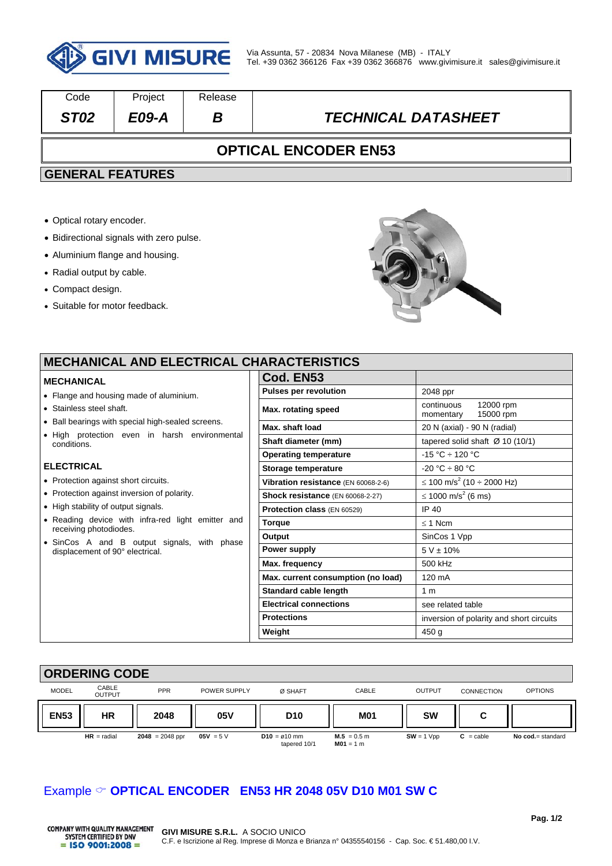

| Code                        | Project | Release |                            |  |  |
|-----------------------------|---------|---------|----------------------------|--|--|
| ST <sub>02</sub>            | E09-A   |         | <b>TECHNICAL DATASHEET</b> |  |  |
| <b>OPTICAL ENCODER EN53</b> |         |         |                            |  |  |

## **GENERAL FEATURES**

- Optical rotary encoder.
- Bidirectional signals with zero pulse.
- Aluminium flange and housing.
- Radial output by cable.
- Compact design.
- Suitable for motor feedback.



# **MECHANICAL AND ELECTRICAL CHARACTERISTICS**

- Flange and housing made of aluminiur
- Stainless steel shaft.
- $\bullet$  Ball bearings with special high-sealed
- $\bullet$  High protection even in harsh  $\bullet$ conditions.

#### **ELECTRICAL**

- Protection against short circuits.
- Protection against inversion of polarity.
- High stability of output signals.
- $\bullet$  Reading device with infra-red light receiving photodiodes.
- SinCos A and B output signals, displacement of 90° electrical.

|                           | Cod. EN53                           |                                                   |
|---------------------------|-------------------------------------|---------------------------------------------------|
| 'n.                       | <b>Pulses per revolution</b>        | 2048 ppr                                          |
|                           | Max. rotating speed                 | continuous<br>12000 rpm<br>15000 rpm<br>momentary |
| screens.<br>environmental | Max. shaft load                     | 20 N (axial) - 90 N (radial)                      |
|                           | Shaft diameter (mm)                 | tapered solid shaft $\varnothing$ 10 (10/1)       |
|                           | <b>Operating temperature</b>        | $-15 °C \div 120 °C$                              |
|                           | Storage temperature                 | $-20 °C \div 80 °C$                               |
|                           | Vibration resistance (EN 60068-2-6) | ≤ 100 m/s <sup>2</sup> (10 ÷ 2000 Hz)             |
|                           | Shock resistance (EN 60068-2-27)    | ≤ 1000 m/s <sup>2</sup> (6 ms)                    |
|                           | Protection class (EN 60529)         | IP 40                                             |
| emitter and               | <b>Torque</b>                       | $<$ 1 Ncm                                         |
| with phase                | Output                              | SinCos 1 Vpp                                      |
|                           | Power supply                        | $5 V \pm 10\%$                                    |
|                           | Max. frequency                      | 500 kHz                                           |
|                           | Max. current consumption (no load)  | 120 mA                                            |
|                           | Standard cable length               | 1 <sub>m</sub>                                    |
|                           | <b>Electrical connections</b>       | see related table                                 |
|                           | <b>Protections</b>                  | inversion of polarity and short circuits          |
|                           | Weight                              | 450 <sub>g</sub>                                  |



# Example **OPTICAL ENCODER EN53 HR 2048 05V D10 M01 SW C**